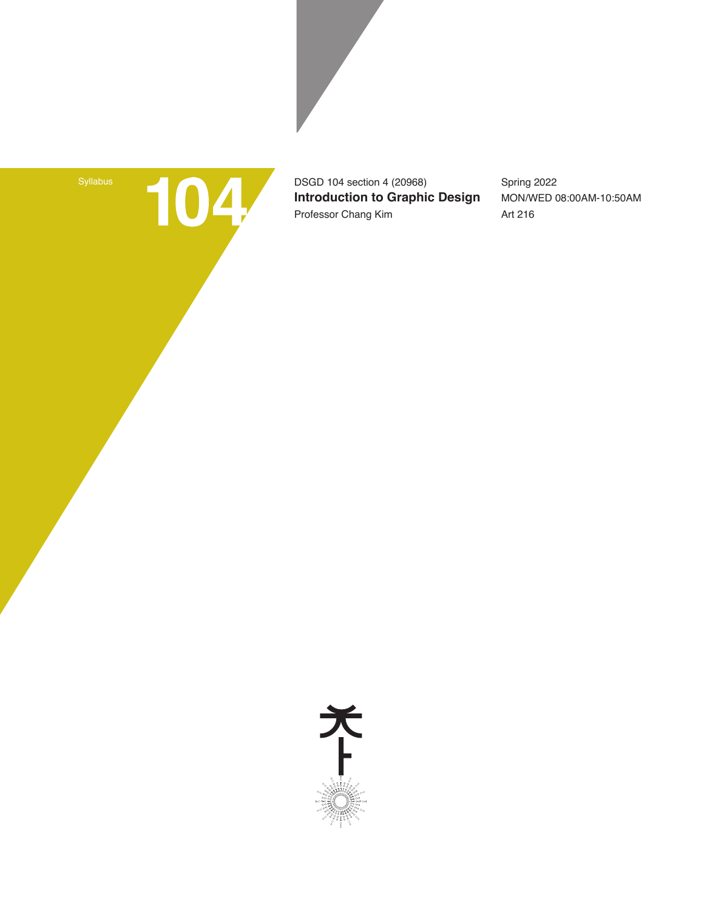104

DSGD 104 section 4 (20968) **Introduction to Graphic Design** Professor Chang Kim

Spring 2022 MON/WED 08:00AM-10:50AM Art 216

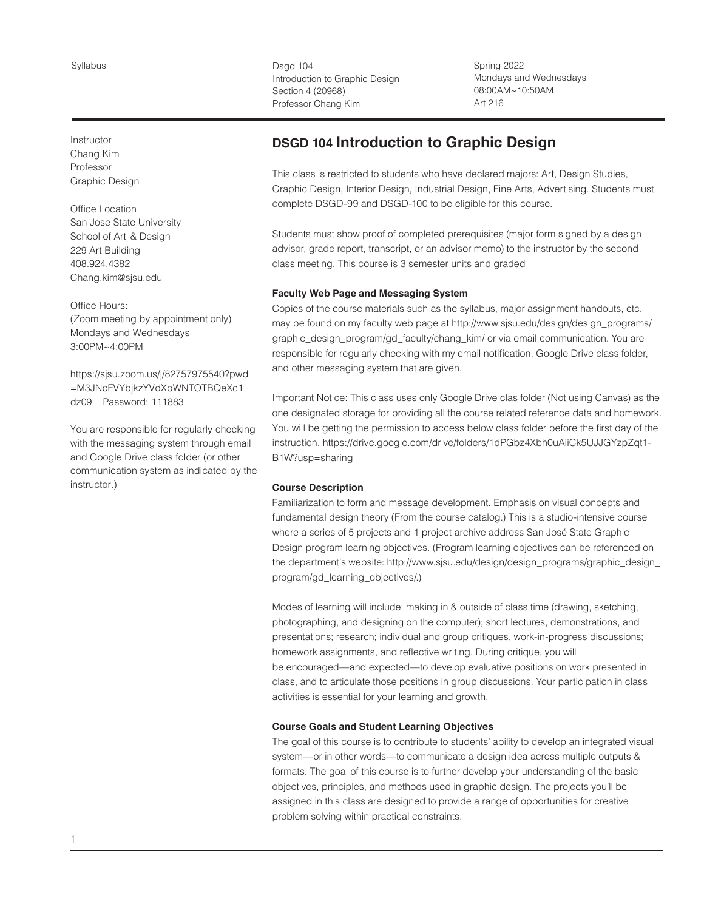Instructor Chang Kim Professor Graphic Design

Office Location San Jose State University School of Art & Design 229 Art Building 408.924.4382 Chang.kim@sjsu.edu

Office Hours: (Zoom meeting by appointment only) Mondays and Wednesdays 3:00PM~4:00PM

https://sjsu.zoom.us/j/82757975540?pwd =M3JNcFVYbjkzYVdXbWNTOTBQeXc1 dz09 Password: 111883

You are responsible for regularly checking with the messaging system through email and Google Drive class folder (or other communication system as indicated by the instructor.)

Dsgd 104 Introduction to Graphic Design Section 4 (20968) Professor Chang Kim

Spring 2022 Mondays and Wednesdays 08:00AM~10:50AM Art 216

# **DSGD 104 Introduction to Graphic Design**

This class is restricted to students who have declared majors: Art, Design Studies, Graphic Design, Interior Design, Industrial Design, Fine Arts, Advertising. Students must complete DSGD-99 and DSGD-100 to be eligible for this course.

Students must show proof of completed prerequisites (major form signed by a design advisor, grade report, transcript, or an advisor memo) to the instructor by the second class meeting. This course is 3 semester units and graded

# **Faculty Web Page and Messaging System**

Copies of the course materials such as the syllabus, major assignment handouts, etc. may be found on my faculty web page at http://www.sjsu.edu/design/design\_programs/ graphic\_design\_program/gd\_faculty/chang\_kim/ or via email communication. You are responsible for regularly checking with my email notification, Google Drive class folder, and other messaging system that are given.

Important Notice: This class uses only Google Drive clas folder (Not using Canvas) as the one designated storage for providing all the course related reference data and homework. You will be getting the permission to access below class folder before the first day of the instruction. https://drive.google.com/drive/folders/1dPGbz4Xbh0uAiiCk5UJJGYzpZqt1- B1W?usp=sharing

## **Course Description**

Familiarization to form and message development. Emphasis on visual concepts and fundamental design theory (From the course catalog.) This is a studio-intensive course where a series of 5 projects and 1 project archive address San José State Graphic Design program learning objectives. (Program learning objectives can be referenced on the department's website: http://www.sjsu.edu/design/design\_programs/graphic\_design\_ program/gd\_learning\_objectives/.)

Modes of learning will include: making in & outside of class time (drawing, sketching, photographing, and designing on the computer); short lectures, demonstrations, and presentations; research; individual and group critiques, work-in-progress discussions; homework assignments, and reflective writing. During critique, you will be encouraged—and expected—to develop evaluative positions on work presented in class, and to articulate those positions in group discussions. Your participation in class activities is essential for your learning and growth.

# **Course Goals and Student Learning Objectives**

The goal of this course is to contribute to students' ability to develop an integrated visual system—or in other words—to communicate a design idea across multiple outputs & formats. The goal of this course is to further develop your understanding of the basic objectives, principles, and methods used in graphic design. The projects you'll be assigned in this class are designed to provide a range of opportunities for creative problem solving within practical constraints.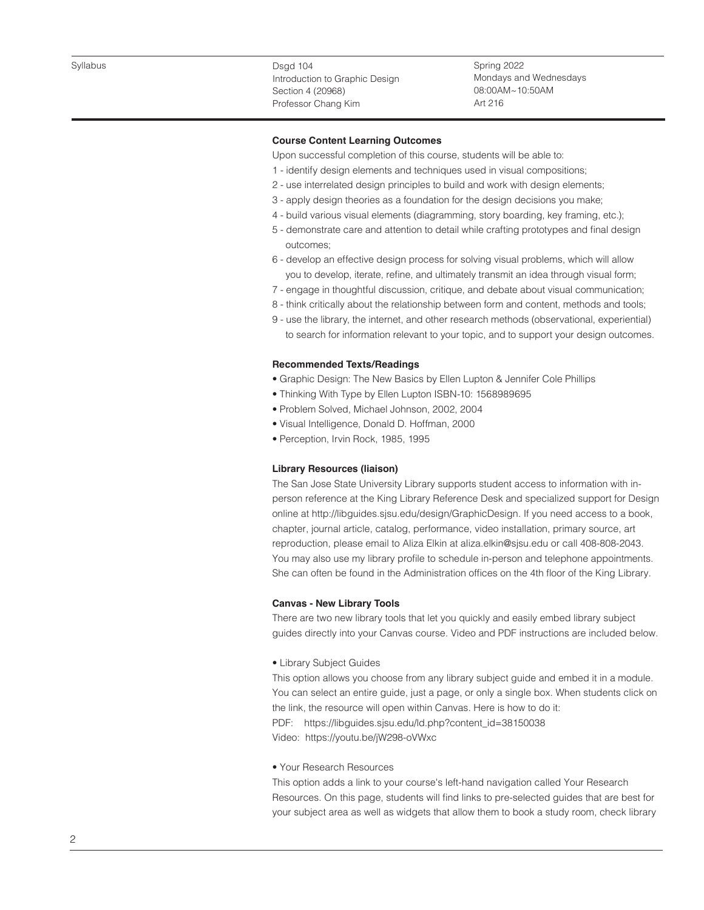Spring 2022 Mondays and Wednesdays 08:00AM~10:50AM Art 216

## **Course Content Learning Outcomes**

Upon successful completion of this course, students will be able to:

- 1 identify design elements and techniques used in visual compositions;
- 2 use interrelated design principles to build and work with design elements;
- 3 apply design theories as a foundation for the design decisions you make;
- 4 build various visual elements (diagramming, story boarding, key framing, etc.);
- 5 demonstrate care and attention to detail while crafting prototypes and final design outcomes;
- 6 develop an effective design process for solving visual problems, which will allow you to develop, iterate, refine, and ultimately transmit an idea through visual form;
- 7 engage in thoughtful discussion, critique, and debate about visual communication;
- 8 think critically about the relationship between form and content, methods and tools;
- 9 use the library, the internet, and other research methods (observational, experiential) to search for information relevant to your topic, and to support your design outcomes.

#### **Recommended Texts/Readings**

- Graphic Design: The New Basics by Ellen Lupton & Jennifer Cole Phillips
- Thinking With Type by Ellen Lupton ISBN-10: 1568989695
- Problem Solved, Michael Johnson, 2002, 2004
- Visual Intelligence, Donald D. Hoffman, 2000
- Perception, Irvin Rock, 1985, 1995

#### **Library Resources (liaison)**

The San Jose State University Library supports student access to information with inperson reference at the King Library Reference Desk and specialized support for Design online at http://libguides.sjsu.edu/design/GraphicDesign. If you need access to a book, chapter, journal article, catalog, performance, video installation, primary source, art reproduction, please email to Aliza Elkin at aliza.elkin@sjsu.edu or call 408-808-2043. You may also use my library profile to schedule in-person and telephone appointments. She can often be found in the Administration offices on the 4th floor of the King Library.

#### **Canvas - New Library Tools**

There are two new library tools that let you quickly and easily embed library subject guides directly into your Canvas course. Video and PDF instructions are included below.

• Library Subject Guides

This option allows you choose from any library subject guide and embed it in a module. You can select an entire guide, just a page, or only a single box. When students click on the link, the resource will open within Canvas. Here is how to do it: PDF: https://libguides.sjsu.edu/ld.php?content\_id=38150038 Video: https://youtu.be/jW298-oVWxc

#### • Your Research Resources

This option adds a link to your course's left-hand navigation called Your Research Resources. On this page, students will find links to pre-selected guides that are best for your subject area as well as widgets that allow them to book a study room, check library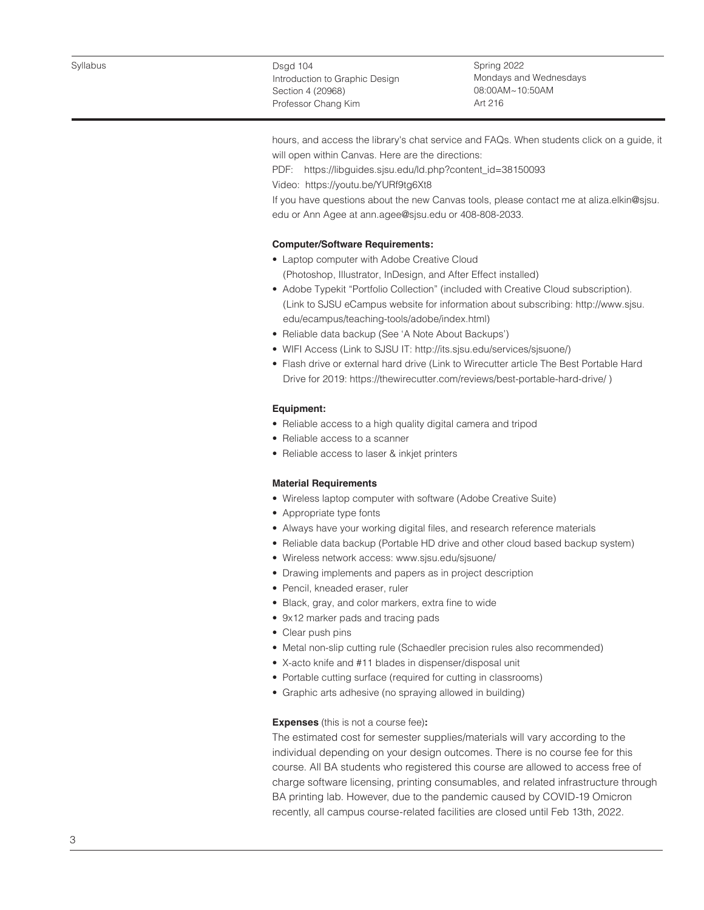Spring 2022 Mondays and Wednesdays 08:00AM~10:50AM Art 216

hours, and access the library's chat service and FAQs. When students click on a guide, it will open within Canvas. Here are the directions:

PDF: https://libguides.sjsu.edu/ld.php?content\_id=38150093

Video: https://youtu.be/YURf9tg6Xt8

If you have questions about the new Canvas tools, please contact me at aliza.elkin@sjsu. edu or Ann Agee at ann.agee@sjsu.edu or 408-808-2033.

# **Computer/Software Requirements:**

- Laptop computer with Adobe Creative Cloud (Photoshop, Illustrator, InDesign, and After Effect installed)
- Adobe Typekit "Portfolio Collection" (included with Creative Cloud subscription). (Link to SJSU eCampus website for information about subscribing: http://www.sjsu. edu/ecampus/teaching-tools/adobe/index.html)
- Reliable data backup (See 'A Note About Backups')
- WIFI Access (Link to SJSU IT: http://its.sjsu.edu/services/sjsuone/)
- Flash drive or external hard drive (Link to Wirecutter article The Best Portable Hard Drive for 2019: https://thewirecutter.com/reviews/best-portable-hard-drive/ )

### **Equipment:**

- Reliable access to a high quality digital camera and tripod
- Reliable access to a scanner
- Reliable access to laser & inkjet printers

### **Material Requirements**

- Wireless laptop computer with software (Adobe Creative Suite)
- Appropriate type fonts
- Always have your working digital files, and research reference materials
- Reliable data backup (Portable HD drive and other cloud based backup system)
- Wireless network access: www.sjsu.edu/sjsuone/
- Drawing implements and papers as in project description
- Pencil, kneaded eraser, ruler
- Black, gray, and color markers, extra fine to wide
- 9x12 marker pads and tracing pads
- Clear push pins
- Metal non-slip cutting rule (Schaedler precision rules also recommended)
- X-acto knife and #11 blades in dispenser/disposal unit
- Portable cutting surface (required for cutting in classrooms)
- Graphic arts adhesive (no spraying allowed in building)

# **Expenses** (this is not a course fee)**:**

The estimated cost for semester supplies/materials will vary according to the individual depending on your design outcomes. There is no course fee for this course. All BA students who registered this course are allowed to access free of charge software licensing, printing consumables, and related infrastructure through BA printing lab. However, due to the pandemic caused by COVID-19 Omicron recently, all campus course-related facilities are closed until Feb 13th, 2022.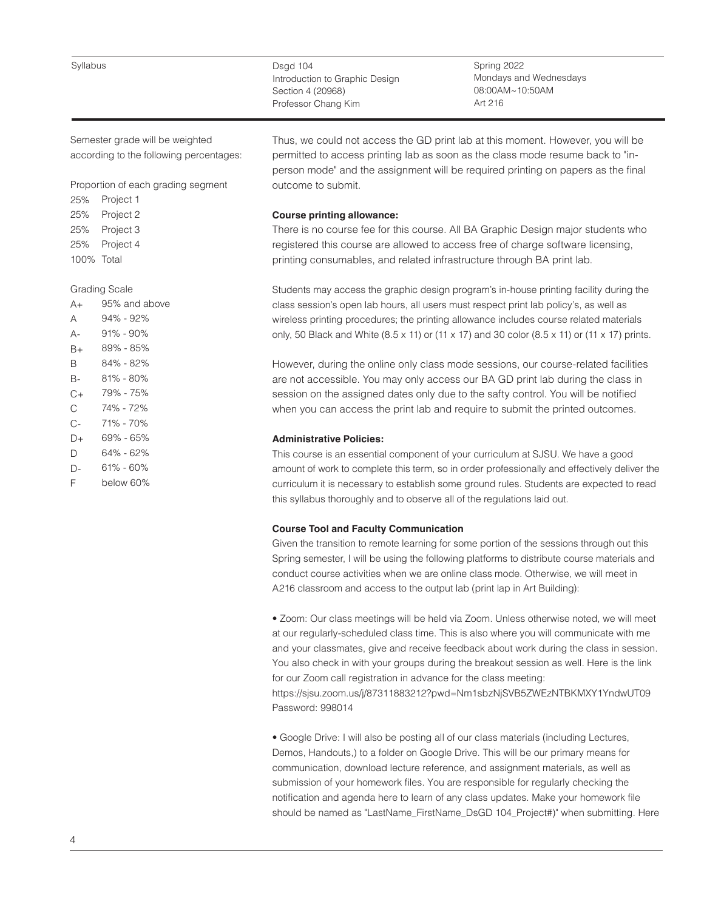Syllabus

Dsgd 104 Introduction to Graphic Design Section 4 (20968) Professor Chang Kim

Spring 2022 Mondays and Wednesdays 08:00AM~10:50AM Art 216

Semester grade will be weighted according to the following percentages:

Proportion of each grading segment

25% 25% 25% 25% 100% Total Project 1 Project 2 Project 3 Project 4

#### Grading Scale

| A+ | 95% and above |
|----|---------------|
| А  | 94% - 92%     |
| А- | 91% - 90%     |
| B+ | 89% - 85%     |
| R  | 84% - 82%     |
| В- | $81\% - 80\%$ |
| C+ | 79% - 75%     |
| C  | 74% - 72%     |
| C- | 71% - 70%     |
| D+ | 69% - 65%     |
| D  | 64% - 62%     |
| D- | 61% - 60%     |
| F  | below 60%     |

Thus, we could not access the GD print lab at this moment. However, you will be permitted to access printing lab as soon as the class mode resume back to "inperson mode" and the assignment will be required printing on papers as the final outcome to submit.

# **Course printing allowance:**

There is no course fee for this course. All BA Graphic Design major students who registered this course are allowed to access free of charge software licensing, printing consumables, and related infrastructure through BA print lab.

Students may access the graphic design program's in-house printing facility during the class session's open lab hours, all users must respect print lab policy's, as well as wireless printing procedures; the printing allowance includes course related materials only, 50 Black and White (8.5 x 11) or (11 x 17) and 30 color (8.5 x 11) or (11 x 17) prints.

However, during the online only class mode sessions, our course-related facilities are not accessible. You may only access our BA GD print lab during the class in session on the assigned dates only due to the safty control. You will be notified when you can access the print lab and require to submit the printed outcomes.

# **Administrative Policies:**

This course is an essential component of your curriculum at SJSU. We have a good amount of work to complete this term, so in order professionally and effectively deliver the curriculum it is necessary to establish some ground rules. Students are expected to read this syllabus thoroughly and to observe all of the regulations laid out.

# **Course Tool and Faculty Communication**

Given the transition to remote learning for some portion of the sessions through out this Spring semester, I will be using the following platforms to distribute course materials and conduct course activities when we are online class mode. Otherwise, we will meet in A216 classroom and access to the output lab (print lap in Art Building):

• Zoom: Our class meetings will be held via Zoom. Unless otherwise noted, we will meet at our regularly-scheduled class time. This is also where you will communicate with me and your classmates, give and receive feedback about work during the class in session. You also check in with your groups during the breakout session as well. Here is the link for our Zoom call registration in advance for the class meeting:

https://sjsu.zoom.us/j/87311883212?pwd=Nm1sbzNjSVB5ZWEzNTBKMXY1YndwUT09 Password: 998014

• Google Drive: I will also be posting all of our class materials (including Lectures, Demos, Handouts,) to a folder on Google Drive. This will be our primary means for communication, download lecture reference, and assignment materials, as well as submission of your homework files. You are responsible for regularly checking the notification and agenda here to learn of any class updates. Make your homework file should be named as "LastName\_FirstName\_DsGD 104\_Project#)" when submitting. Here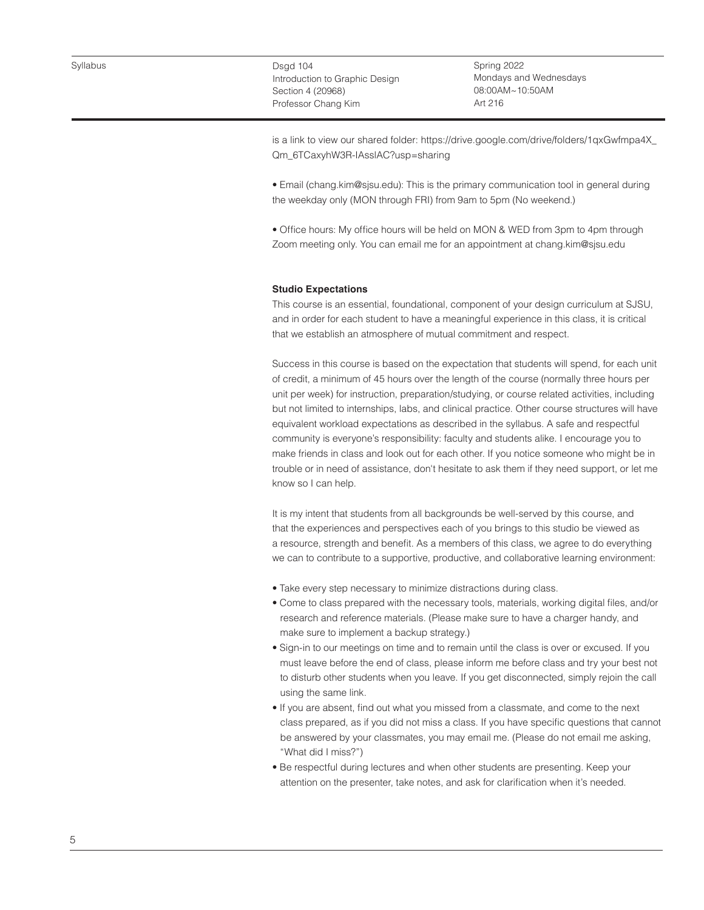Spring 2022 Mondays and Wednesdays 08:00AM~10:50AM Art 216

is a link to view our shared folder: https://drive.google.com/drive/folders/1qxGwfmpa4X\_ Qm\_6TCaxyhW3R-IAsslAC?usp=sharing

• Email (chang.kim@sjsu.edu): This is the primary communication tool in general during the weekday only (MON through FRI) from 9am to 5pm (No weekend.)

• Office hours: My office hours will be held on MON & WED from 3pm to 4pm through Zoom meeting only. You can email me for an appointment at chang.kim@sjsu.edu

### **Studio Expectations**

This course is an essential, foundational, component of your design curriculum at SJSU, and in order for each student to have a meaningful experience in this class, it is critical that we establish an atmosphere of mutual commitment and respect.

Success in this course is based on the expectation that students will spend, for each unit of credit, a minimum of 45 hours over the length of the course (normally three hours per unit per week) for instruction, preparation/studying, or course related activities, including but not limited to internships, labs, and clinical practice. Other course structures will have equivalent workload expectations as described in the syllabus. A safe and respectful community is everyone's responsibility: faculty and students alike. I encourage you to make friends in class and look out for each other. If you notice someone who might be in trouble or in need of assistance, don't hesitate to ask them if they need support, or let me know so I can help.

It is my intent that students from all backgrounds be well-served by this course, and that the experiences and perspectives each of you brings to this studio be viewed as a resource, strength and benefit. As a members of this class, we agree to do everything we can to contribute to a supportive, productive, and collaborative learning environment:

- Take every step necessary to minimize distractions during class.
- Come to class prepared with the necessary tools, materials, working digital files, and/or research and reference materials. (Please make sure to have a charger handy, and make sure to implement a backup strategy.)
- Sign-in to our meetings on time and to remain until the class is over or excused. If you must leave before the end of class, please inform me before class and try your best not to disturb other students when you leave. If you get disconnected, simply rejoin the call using the same link.
- If you are absent, find out what you missed from a classmate, and come to the next class prepared, as if you did not miss a class. If you have specific questions that cannot be answered by your classmates, you may email me. (Please do not email me asking, "What did I miss?")
- Be respectful during lectures and when other students are presenting. Keep your attention on the presenter, take notes, and ask for clarification when it's needed.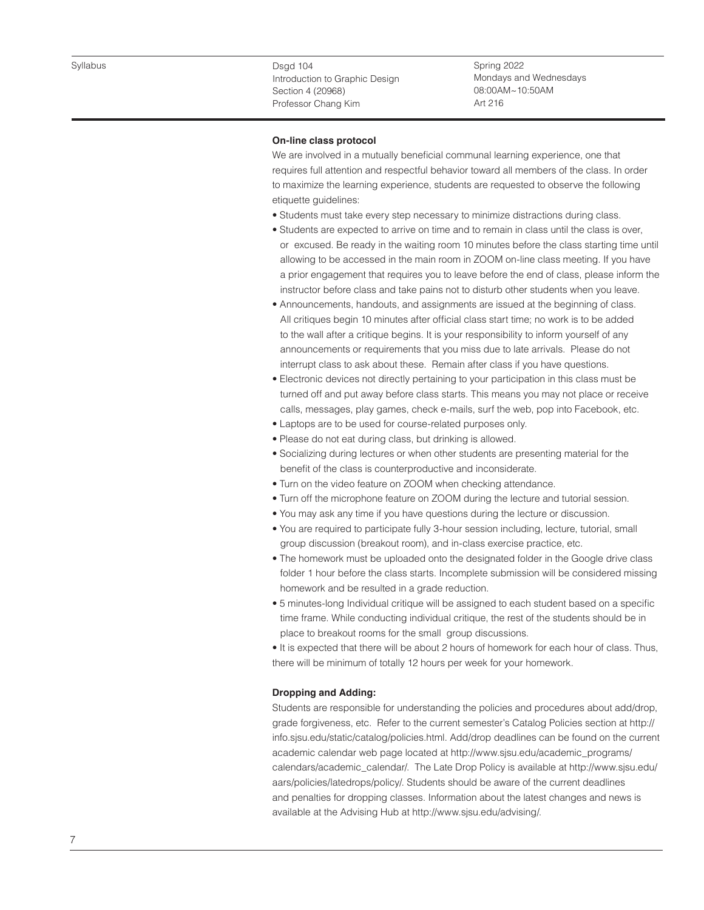Spring 2022 Mondays and Wednesdays 08:00AM~10:50AM Art 216

#### **On-line class protocol**

We are involved in a mutually beneficial communal learning experience, one that requires full attention and respectful behavior toward all members of the class. In order to maximize the learning experience, students are requested to observe the following etiquette guidelines:

- Students must take every step necessary to minimize distractions during class.
- Students are expected to arrive on time and to remain in class until the class is over, or excused. Be ready in the waiting room 10 minutes before the class starting time until allowing to be accessed in the main room in ZOOM on-line class meeting. If you have a prior engagement that requires you to leave before the end of class, please inform the instructor before class and take pains not to disturb other students when you leave.
- Announcements, handouts, and assignments are issued at the beginning of class. All critiques begin 10 minutes after official class start time; no work is to be added to the wall after a critique begins. It is your responsibility to inform yourself of any announcements or requirements that you miss due to late arrivals. Please do not interrupt class to ask about these. Remain after class if you have questions.
- Electronic devices not directly pertaining to your participation in this class must be turned off and put away before class starts. This means you may not place or receive calls, messages, play games, check e-mails, surf the web, pop into Facebook, etc.
- Laptops are to be used for course-related purposes only.
- Please do not eat during class, but drinking is allowed.
- Socializing during lectures or when other students are presenting material for the benefit of the class is counterproductive and inconsiderate.
- Turn on the video feature on ZOOM when checking attendance.
- Turn off the microphone feature on ZOOM during the lecture and tutorial session.
- You may ask any time if you have questions during the lecture or discussion.
- You are required to participate fully 3-hour session including, lecture, tutorial, small group discussion (breakout room), and in-class exercise practice, etc.
- The homework must be uploaded onto the designated folder in the Google drive class folder 1 hour before the class starts. Incomplete submission will be considered missing homework and be resulted in a grade reduction.
- 5 minutes-long Individual critique will be assigned to each student based on a specific time frame. While conducting individual critique, the rest of the students should be in place to breakout rooms for the small group discussions.
- It is expected that there will be about 2 hours of homework for each hour of class. Thus, there will be minimum of totally 12 hours per week for your homework.

# **Dropping and Adding:**

Students are responsible for understanding the policies and procedures about add/drop, grade forgiveness, etc. Refer to the current semester's Catalog Policies section at http:// info.sjsu.edu/static/catalog/policies.html. Add/drop deadlines can be found on the current academic calendar web page located at http://www.sjsu.edu/academic\_programs/ calendars/academic\_calendar/. The Late Drop Policy is available at http://www.sjsu.edu/ aars/policies/latedrops/policy/. Students should be aware of the current deadlines and penalties for dropping classes. Information about the latest changes and news is available at the Advising Hub at http://www.sjsu.edu/advising/.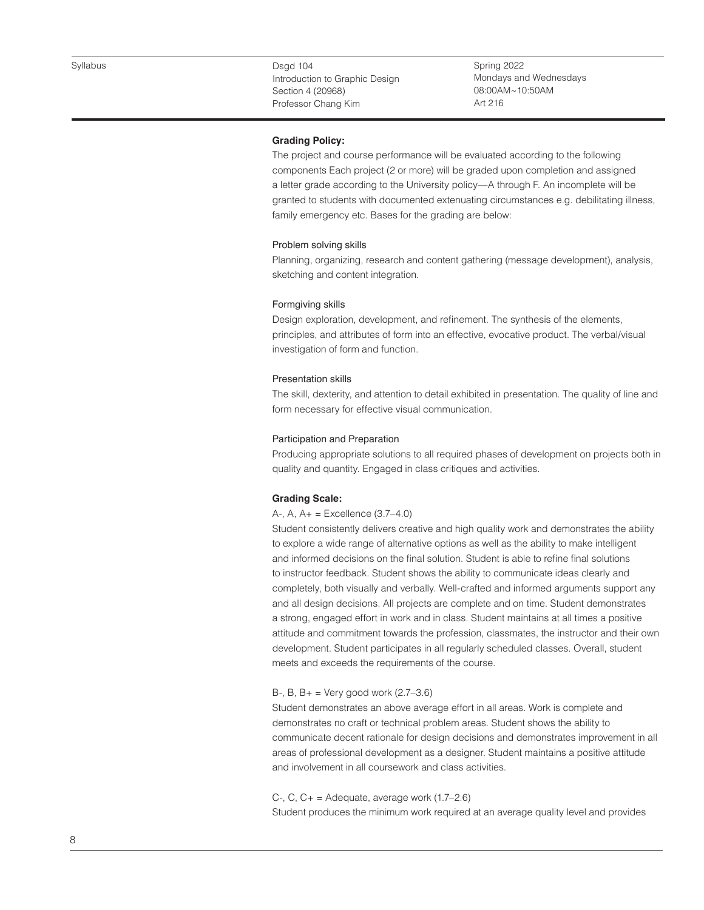Spring 2022 Mondays and Wednesdays 08:00AM~10:50AM Art 216

# **Grading Policy:**

The project and course performance will be evaluated according to the following components Each project (2 or more) will be graded upon completion and assigned a letter grade according to the University policy—A through F. An incomplete will be granted to students with documented extenuating circumstances e.g. debilitating illness, family emergency etc. Bases for the grading are below:

### Problem solving skills

Planning, organizing, research and content gathering (message development), analysis, sketching and content integration.

### Formgiving skills

Design exploration, development, and refinement. The synthesis of the elements, principles, and attributes of form into an effective, evocative product. The verbal/visual investigation of form and function.

# Presentation skills

The skill, dexterity, and attention to detail exhibited in presentation. The quality of line and form necessary for effective visual communication.

#### Participation and Preparation

Producing appropriate solutions to all required phases of development on projects both in quality and quantity. Engaged in class critiques and activities.

### **Grading Scale:**

### A-, A, A+ = Excellence (3.7–4.0)

Student consistently delivers creative and high quality work and demonstrates the ability to explore a wide range of alternative options as well as the ability to make intelligent and informed decisions on the final solution. Student is able to refine final solutions to instructor feedback. Student shows the ability to communicate ideas clearly and completely, both visually and verbally. Well-crafted and informed arguments support any and all design decisions. All projects are complete and on time. Student demonstrates a strong, engaged effort in work and in class. Student maintains at all times a positive attitude and commitment towards the profession, classmates, the instructor and their own development. Student participates in all regularly scheduled classes. Overall, student meets and exceeds the requirements of the course.

#### B-, B,  $B_{+}$  = Very good work (2.7–3.6)

Student demonstrates an above average effort in all areas. Work is complete and demonstrates no craft or technical problem areas. Student shows the ability to communicate decent rationale for design decisions and demonstrates improvement in all areas of professional development as a designer. Student maintains a positive attitude and involvement in all coursework and class activities.

#### C-, C,  $C_+$  = Adequate, average work  $(1.7–2.6)$

Student produces the minimum work required at an average quality level and provides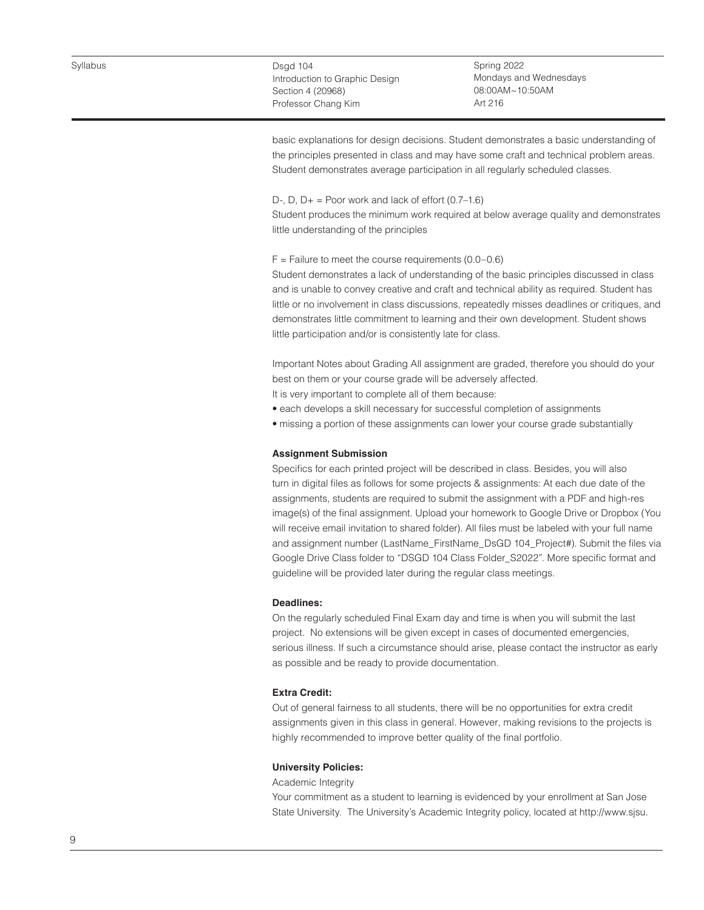Spring 2022 Mondays and Wednesdays 08:00AM~10:50AM Art 216

basic explanations for design decisions. Student demonstrates a basic understanding of the principles presented in class and may have some craft and technical problem areas. Student demonstrates average participation in all regularly scheduled classes.

### D-, D,  $D_+$  = Poor work and lack of effort  $(0.7-1.6)$

Student produces the minimum work required at below average quality and demonstrates little understanding of the principles

# $F =$  Failure to meet the course requirements (0.0–0.6)

Student demonstrates a lack of understanding of the basic principles discussed in class and is unable to convey creative and craft and technical ability as required. Student has little or no involvement in class discussions, repeatedly misses deadlines or critiques, and demonstrates little commitment to learning and their own development. Student shows little participation and/or is consistently late for class.

Important Notes about Grading All assignment are graded, therefore you should do your best on them or your course grade will be adversely affected.

- It is very important to complete all of them because:
- each develops a skill necessary for successful completion of assignments
- missing a portion of these assignments can lower your course grade substantially

# **Assignment Submission**

Specifics for each printed project will be described in class. Besides, you will also turn in digital files as follows for some projects & assignments: At each due date of the assignments, students are required to submit the assignment with a PDF and high-res image(s) of the final assignment. Upload your homework to Google Drive or Dropbox (You will receive email invitation to shared folder). All files must be labeled with your full name and assignment number (LastName\_FirstName\_DsGD 104\_Project#). Submit the files via Google Drive Class folder to "DSGD 104 Class Folder\_S2022". More specific format and guideline will be provided later during the regular class meetings.

#### **Deadlines:**

On the regularly scheduled Final Exam day and time is when you will submit the last project. No extensions will be given except in cases of documented emergencies, serious illness. If such a circumstance should arise, please contact the instructor as early as possible and be ready to provide documentation.

# **Extra Credit:**

Out of general fairness to all students, there will be no opportunities for extra credit assignments given in this class in general. However, making revisions to the projects is highly recommended to improve better quality of the final portfolio.

#### **University Policies:**

Academic Integrity

Your commitment as a student to learning is evidenced by your enrollment at San Jose State University. The University's Academic Integrity policy, located at http://www.sjsu.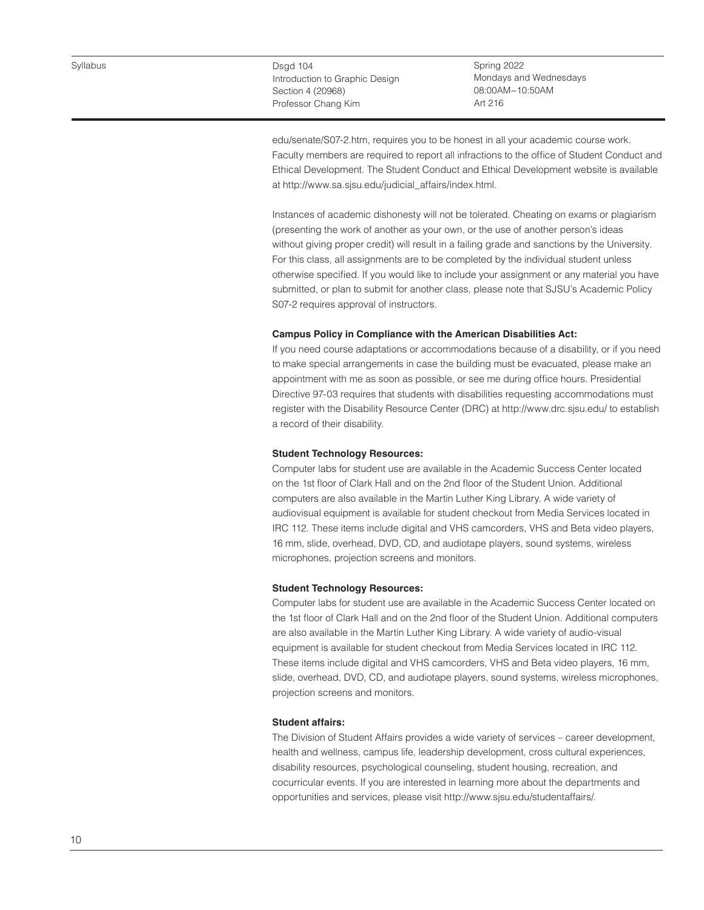Spring 2022 Mondays and Wednesdays 08:00AM~10:50AM Art 216

edu/senate/S07-2.htm, requires you to be honest in all your academic course work. Faculty members are required to report all infractions to the office of Student Conduct and Ethical Development. The Student Conduct and Ethical Development website is available at http://www.sa.sjsu.edu/judicial\_affairs/index.html.

Instances of academic dishonesty will not be tolerated. Cheating on exams or plagiarism (presenting the work of another as your own, or the use of another person's ideas without giving proper credit) will result in a failing grade and sanctions by the University. For this class, all assignments are to be completed by the individual student unless otherwise specified. If you would like to include your assignment or any material you have submitted, or plan to submit for another class, please note that SJSU's Academic Policy S07-2 requires approval of instructors.

# **Campus Policy in Compliance with the American Disabilities Act:**

If you need course adaptations or accommodations because of a disability, or if you need to make special arrangements in case the building must be evacuated, please make an appointment with me as soon as possible, or see me during office hours. Presidential Directive 97-03 requires that students with disabilities requesting accommodations must register with the Disability Resource Center (DRC) at http://www.drc.sjsu.edu/ to establish a record of their disability.

# **Student Technology Resources:**

Computer labs for student use are available in the Academic Success Center located on the 1st floor of Clark Hall and on the 2nd floor of the Student Union. Additional computers are also available in the Martin Luther King Library. A wide variety of audiovisual equipment is available for student checkout from Media Services located in IRC 112. These items include digital and VHS camcorders, VHS and Beta video players, 16 mm, slide, overhead, DVD, CD, and audiotape players, sound systems, wireless microphones, projection screens and monitors.

#### **Student Technology Resources:**

Computer labs for student use are available in the Academic Success Center located on the 1st floor of Clark Hall and on the 2nd floor of the Student Union. Additional computers are also available in the Martin Luther King Library. A wide variety of audio-visual equipment is available for student checkout from Media Services located in IRC 112. These items include digital and VHS camcorders, VHS and Beta video players, 16 mm, slide, overhead, DVD, CD, and audiotape players, sound systems, wireless microphones, projection screens and monitors.

### **Student affairs:**

The Division of Student Affairs provides a wide variety of services – career development, health and wellness, campus life, leadership development, cross cultural experiences, disability resources, psychological counseling, student housing, recreation, and cocurricular events. If you are interested in learning more about the departments and opportunities and services, please visit http://www.sjsu.edu/studentaffairs/.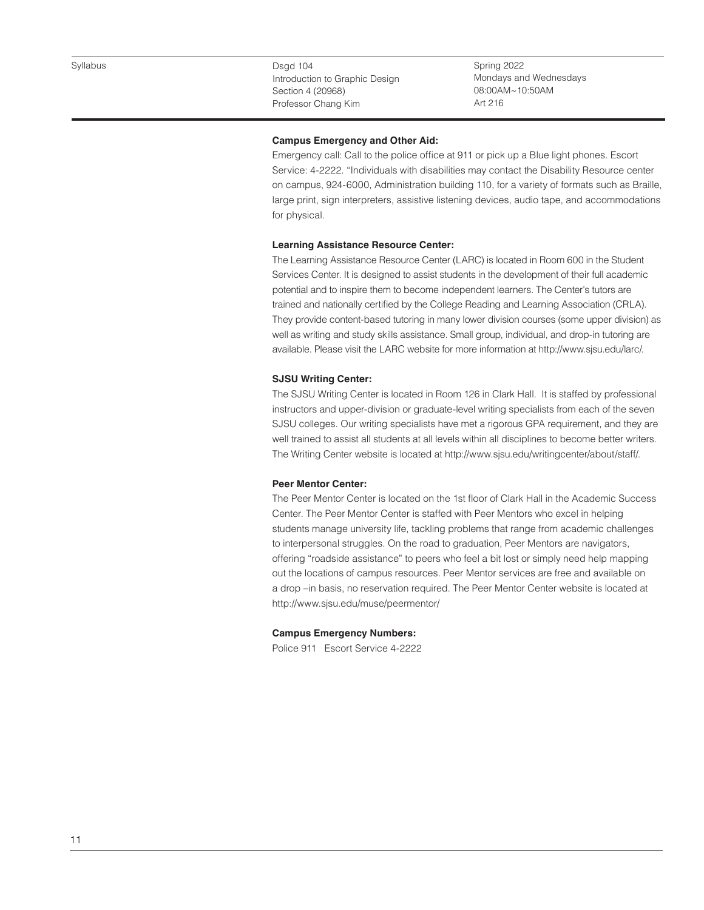Spring 2022 Mondays and Wednesdays 08:00AM~10:50AM Art 216

# **Campus Emergency and Other Aid:**

Emergency call: Call to the police office at 911 or pick up a Blue light phones. Escort Service: 4-2222. "Individuals with disabilities may contact the Disability Resource center on campus, 924-6000, Administration building 110, for a variety of formats such as Braille, large print, sign interpreters, assistive listening devices, audio tape, and accommodations for physical.

# **Learning Assistance Resource Center:**

The Learning Assistance Resource Center (LARC) is located in Room 600 in the Student Services Center. It is designed to assist students in the development of their full academic potential and to inspire them to become independent learners. The Center's tutors are trained and nationally certified by the College Reading and Learning Association (CRLA). They provide content-based tutoring in many lower division courses (some upper division) as well as writing and study skills assistance. Small group, individual, and drop-in tutoring are available. Please visit the LARC website for more information at http://www.sjsu.edu/larc/.

# **SJSU Writing Center:**

The SJSU Writing Center is located in Room 126 in Clark Hall. It is staffed by professional instructors and upper-division or graduate-level writing specialists from each of the seven SJSU colleges. Our writing specialists have met a rigorous GPA requirement, and they are well trained to assist all students at all levels within all disciplines to become better writers. The Writing Center website is located at http://www.sjsu.edu/writingcenter/about/staff/.

# **Peer Mentor Center:**

The Peer Mentor Center is located on the 1st floor of Clark Hall in the Academic Success Center. The Peer Mentor Center is staffed with Peer Mentors who excel in helping students manage university life, tackling problems that range from academic challenges to interpersonal struggles. On the road to graduation, Peer Mentors are navigators, offering "roadside assistance" to peers who feel a bit lost or simply need help mapping out the locations of campus resources. Peer Mentor services are free and available on a drop –in basis, no reservation required. The Peer Mentor Center website is located at http://www.sjsu.edu/muse/peermentor/

#### **Campus Emergency Numbers:**

Police 911 Escort Service 4-2222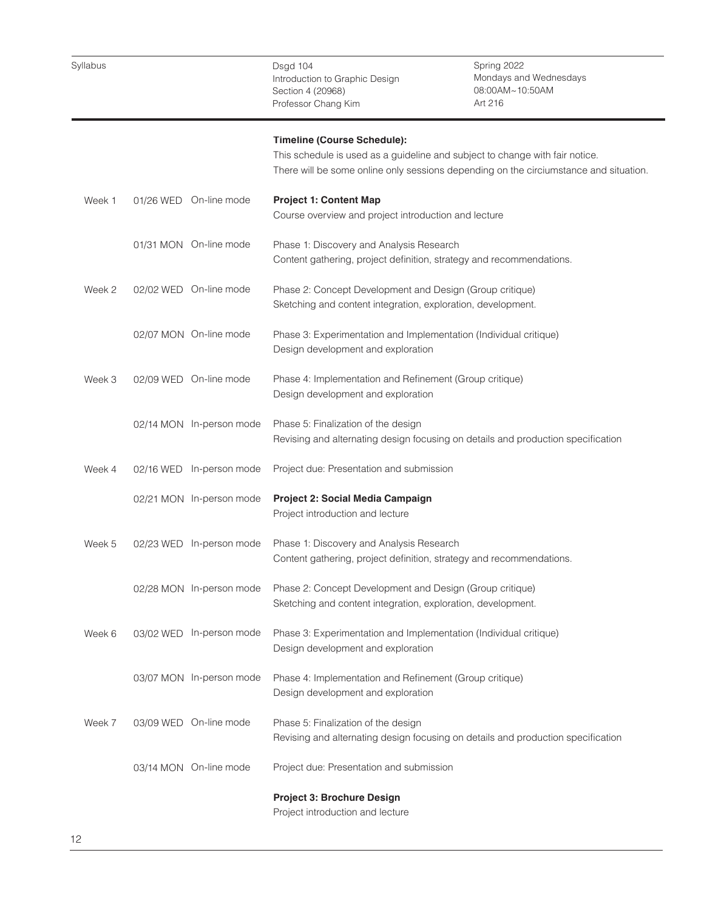Dsgd 104 Introduction to Graphic Design Section 4 (20968) Professor Chang Kim Spring 2022 Mondays and Wednesdays 08:00AM~10:50AM Art 216 Week 1 Week 2 Week 3 Week 4 Week 5 Week 6 Week 7 01/26 WED On-line mode 01/31 MON On-line mode 02/02 WED On-line mode 02/07 MON On-line mode 02/09 WED On-line mode 02/14 MON In-person mode 02/16 WED In-person mode 02/21 MON In-person mode 02/23 WED In-person mode 02/28 MON In-person mode 03/02 WED In-person mode 03/07 MON In-person mode 03/09 WED On-line mode 03/14 MON On-line mode **Timeline (Course Schedule):**  This schedule is used as a guideline and subject to change with fair notice. There will be some online only sessions depending on the circiumstance and situation. **Project 1: Content Map**  Course overview and project introduction and lecture Phase 1: Discovery and Analysis Research Content gathering, project definition, strategy and recommendations. Phase 2: Concept Development and Design (Group critique) Sketching and content integration, exploration, development. Phase 3: Experimentation and Implementation (Individual critique) Design development and exploration Phase 4: Implementation and Refinement (Group critique) Design development and exploration Phase 5: Finalization of the design Revising and alternating design focusing on details and production specification Project due: Presentation and submission **Project 2: Social Media Campaign**  Project introduction and lecture Phase 1: Discovery and Analysis Research Content gathering, project definition, strategy and recommendations. Phase 2: Concept Development and Design (Group critique) Sketching and content integration, exploration, development. Phase 3: Experimentation and Implementation (Individual critique) Design development and exploration Phase 4: Implementation and Refinement (Group critique) Design development and exploration Phase 5: Finalization of the design Revising and alternating design focusing on details and production specification Project due: Presentation and submission **Project 3: Brochure Design** Project introduction and lecture